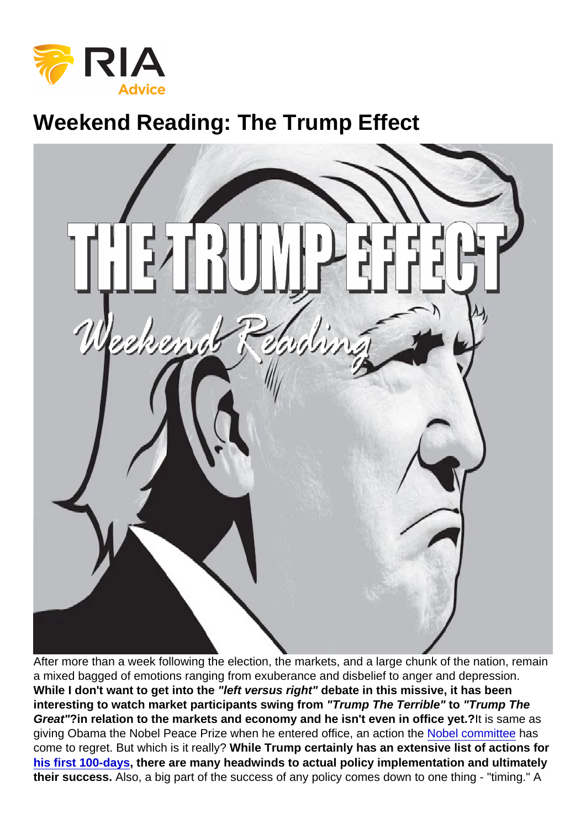## Weekend Reading: The Trump Effect

After more than a week following the election, the markets, and a large chunk of the nation, remain a mixed bagged of emotions ranging from exuberance and disbelief to anger and depression. While I don't want to get into the "left versus right" debate in this missive, it has been interesting to watch market participants swing from "Trump The Terrible" to "Trump The Great" ?in relation to the markets and economy and he isn't even in office yet.? It is same as giving Obama the Nobel Peace Prize when he entered office, an action the [Nobel committee](http://www.bbc.com/news/world-europe-34277960) has come to regret. But which is it really? While Trump certainly has an extensive list of actions for [his first 100-days](http://www.zerohedge.com/news/2016-10-22/trump-lays-out-his-plan-first-100-days-office-here-are-highlights) , there are many headwinds to actual policy implementation and ultimately their success. Also, a big part of the success of any policy comes down to one thing - "timing." A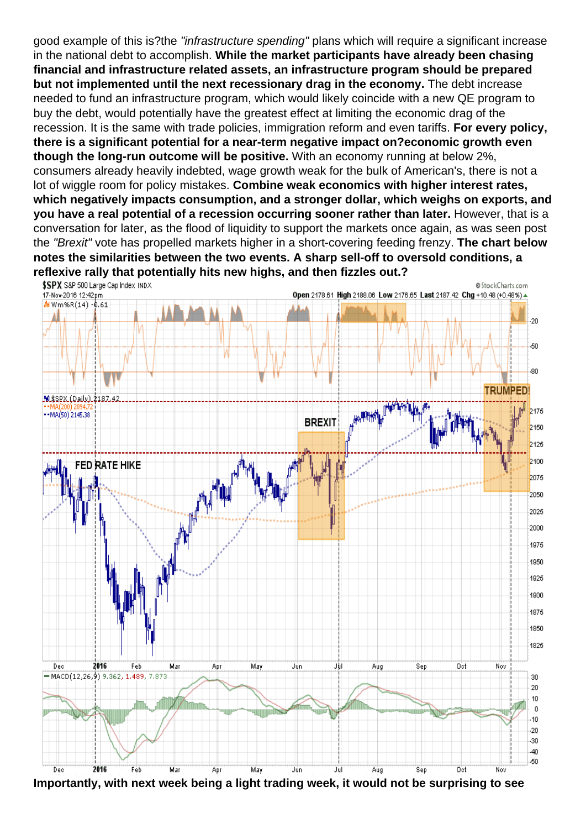good example of this is?the "infrastructure spending" plans which will require a significant increase in the national debt to accomplish. While the market participants have already been chasing financial and infrastructure related assets, an infrastructure program should be prepared but not implemented until the next recessionary drag in the economy. The debt increase needed to fund an infrastructure program, which would likely coincide with a new QE program to buy the debt, would potentially have the greatest effect at limiting the economic drag of the recession. It is the same with trade policies, immigration reform and even tariffs. For every policy, there is a significant potential for a near-term negative impact on?economic growth even though the long-run outcome will be positive. With an economy running at below 2%, consumers already heavily indebted, wage growth weak for the bulk of American's, there is not a lot of wiggle room for policy mistakes. Combine weak economics with higher interest rates, which negatively impacts consumption, and a stronger dollar, which weighs on exports, and you have a real potential of a recession occurring sooner rather than later. However, that is a conversation for later, as the flood of liquidity to support the markets once again, as was seen post the "Brexit" vote has propelled markets higher in a short-covering feeding frenzy. The chart below notes the similarities between the two events. A sharp sell-off to oversold conditions, a reflexive rally that potentially hits new highs, and then fizzles out.?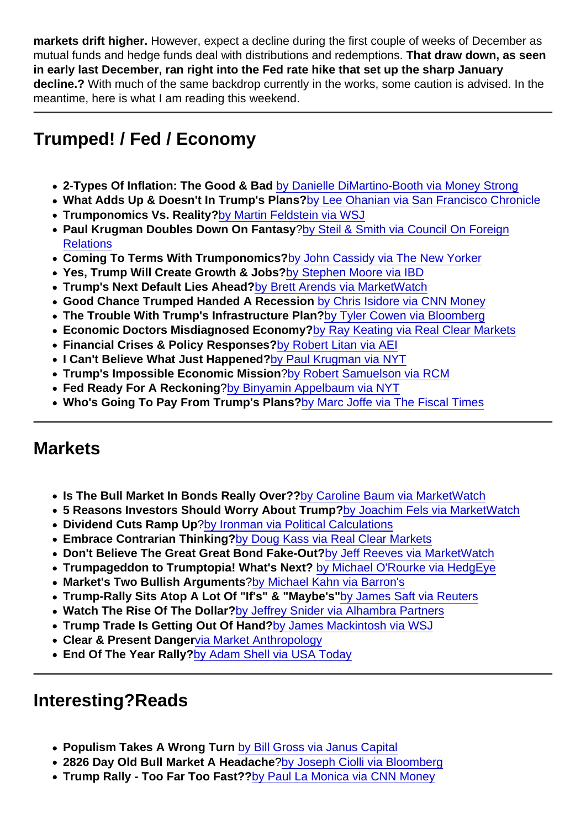markets drift higher. However, expect a decline during the first couple of weeks of December as mutual funds and hedge funds deal with distributions and redemptions. That draw down, as seen in early last December, ran right into the Fed rate hike that set up the sharp January decline.? With much of the same backdrop currently in the works, some caution is advised. In the meantime, here is what I am reading this weekend.

## Trumped! / Fed / Economy

- 2-Types Of Inflation: The Good & Bad [by Danielle DiMartino-Booth via Money Strong](http://dimartinobooth.com/inflation-101-prep-school-preppers/)
- What Adds Up & Doesn't In Trump's Plans? [by Lee Ohanian via San Francisco Chronicle](http://www.sfchronicle.com/opinion/openforum/article/What-adds-up-and-what-doesn-t-in-Trump-s-10616888.php&ct=ga&cd=CAEYACoTNDMyNDE5OTMzMTEwNzE4OTE2MTIaZmE1M2NjMjlkOWQ2ZWNiMjpjb206ZW46VVM&usg=AFQjCNGEZweuNFqV-jBIOearZU-ki7_OgQ)
- Trumponomics Vs. Reality? [by Martin Feldstein via WSJ](http://www.wsj.com/articles/squaring-trumponomics-with-reality-1479168792)
- Paul Krugman Doubles Down On Fantasy [?by Steil & Smith via Council On Foreign](http://blogs.cfr.org/geographics/2016/11/14/paul-krugman-doubles-down-on-fiscal-expansion-claims-contradicted-by-data/) **[Relations](http://blogs.cfr.org/geographics/2016/11/14/paul-krugman-doubles-down-on-fiscal-expansion-claims-contradicted-by-data/)**
- Coming To Terms With Trumponomics? [by John Cassidy via The New Yorker](http://www.newyorker.com/news/john-cassidy/coming-to-terms-with-trumponomics)
- Yes, Trump Will Create Growth & Jobs? [by Stephen Moore via IBD](http://www.investors.com/politics/columnists/stephen-moore-yes-trump-will-double-growth-and-jobs/)
- Trump's Next Default Lies Ahead? [by Brett Arends via MarketWatch](http://www.marketwatch.com/story/donald-trumps-next-default-lies-dead-ahead-2016-11-16?mod=MW_story_top_stories)
- Good Chance Trumped Handed A Recession [by Chris Isidore via CNN Money](http://money.cnn.com/2016/11/09/news/economy/president-elect-donald-trump-recession/index.html?iid=hp-stack-dom)
- The Trouble With Trump's Infrastructure Plan? [by Tyler Cowen via Bloomberg](https://www.bloomberg.com/view/articles/2016-11-14/the-trouble-with-trump-s-infrastructure-plan)
- Economic Doctors Misdiagnosed Economy? [by Ray Keating via Real Clear Markets](http://www.realclearmarkets.com/articles/2016/11/15/economic_doctors_have_misdiagnosed_the_economy_102425.html)
- Financial Crises & Policy Responses? [by Robert Litan via AEI](http://images.realclear.com/files/2016/11/400_Crises.pdf)
- I Can't Believe What Just Happened? [by Paul Krugman via NYT](http://krugman.blogs.nytimes.com/2016/11/11/the-long-haul/?_r=0)
- Trump's Impossible Economic Mission [?by Robert Samuelson via RCM](http://www.realclearmarkets.com/articles/2016/11/14/donald_trumps_impossible_economic_mission_102424.html)
- Fed Ready For A Reckoning ?[by Binyamin Appelbaum via NYT](http://www.nytimes.com/2016/11/13/business/economy/trump-the-fed-yellen-gets-ready-for-reckoning.html?_r=0)
- Who's Going To Pay From Trump's Plans? [by Marc Joffe via The Fiscal Times](http://www.thefiscaltimes.com/Columns/2016/11/14/Who-s-Going-Pay-Trump-s-Huge-Infrastructure-Plans)

## **Markets**

- Is The Bull Market In Bonds Really Over?? [by Caroline Baum via MarketWatch](http://www.marketwatch.com/story/is-the-bull-market-in-bonds-really-over-2016-11-16)
- 5 Reasons Investors Should Worry About Trump? [by Joachim Fels via MarketWatch](http://www.marketwatch.com/story/5-reasons-why-its-too-early-for-investors-to-stop-worrying-about-president-trump-2016-11-15)
- Dividend Cuts Ramp Up [?by Ironman via Political Calculations](http://politicalcalculations.blogspot.com/2016/11/dividend-cuts-ramp-up-in-us-economy.html#.WC3xGOYrIUF)
- Embrace Contrarian Thinking? [by Doug Kass via Real Clear Markets](http://www.realclearmarkets.com/articles/2016/11/16/dont_run_with_the_crowd_embrace_contrary_thinking_102426.html)
- Don't Believe The Great Great Bond Fake-Out? [by Jeff Reeves via MarketWatch](http://www.marketwatch.com/story/dont-believe-the-great-bond-fake-out-2016-11-16)
- Trumpageddon to Trumptopia! What's Next? [by Michael O'Rourke via HedgEye](https://app.hedgeye.com/insights/55362-guest-contributor-trumpageddon-to-trumptopia)
- Market's Two Bullish Arguments [?by Michael Kahn via Barron's](http://www.barrons.com/articles/the-stock-market-offers-two-big-bullish-arguments-1479330093?mod=rss_barrons_getting_technical)
- Trump-Rally Sits Atop A Lot Of "If's" & "Maybe's" [by James Saft via Reuters](http://in.reuters.com/article/markets-saft-idINL1N1DC1A7)
- Watch The Rise Of The Dollar? [by Jeffrey Snider via Alhambra Partners](http://www.alhambrapartners.com/2016/11/14/rising-dollar-again-to-start-this-week/)
- Trump Trade Is Getting Out Of Hand? [by James Mackintosh via WSJ](http://www.wsj.com/articles/the-trump-trade-is-getting-out-of-hand-buy-some-bonds-1479143922)
- Clear & Present Danger [via Market Anthropology](http://www.marketanthropology.com/2016/11/clear-present-danger.html)
- End Of The Year Rally? [by Adam Shell via USA Today](http://www.usatoday.com/story/money/markets/2016/11/14/stocks-trump-year-end-rally/93602660/)

## Interesting?Reads

- Populism Takes A Wrong Turn [by Bill Gross via Janus Capital](https://www.janus.com/insights/bill-gross-investment-outlook)
- 2826 Day Old Bull Market A Headache [?by Joseph Ciolli via Bloomberg](http://www.bloomberg.com/news/articles/2016-11-13/for-new-president-trump-it-s-already-late-in-the-stock-market)
- Trump Rally Too Far Too Fast?? [by Paul La Monica via CNN Money](http://money.cnn.com/2016/11/14/investing/stock-market-record-high-donald-trump/index.html?iid=hp-toplead-dom)